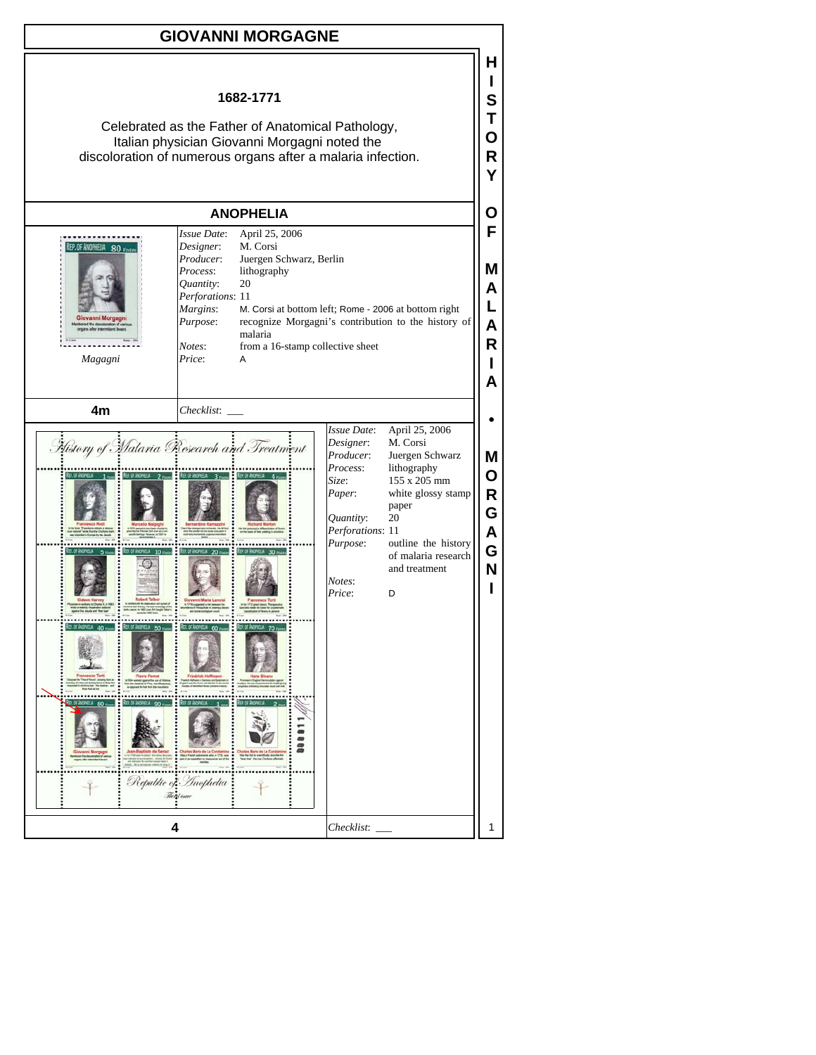